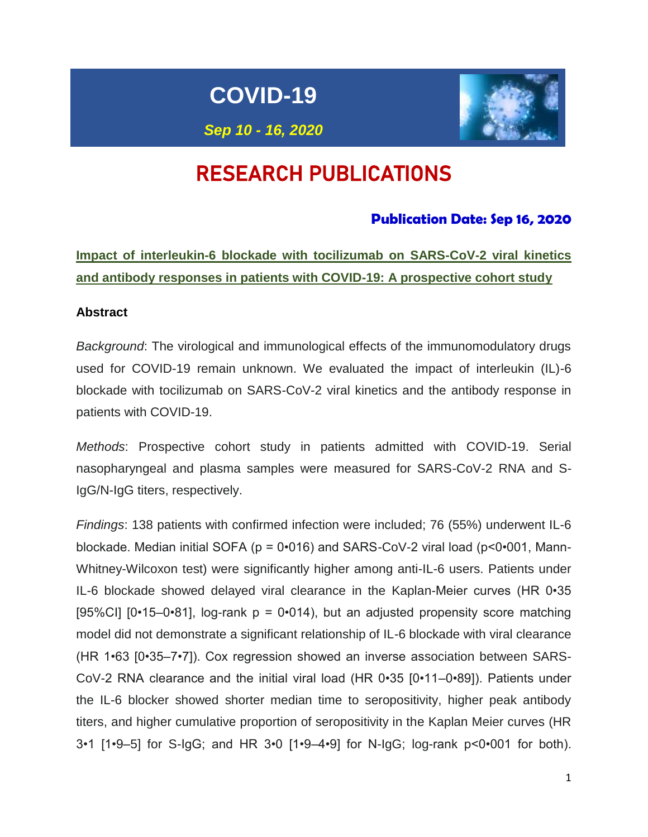# **COVID-19**



*Sep 10 - 16, 2020*

# RESEARCH PUBLICATIONS

### **Publication Date: Sep 16, 2020**

**Impact of interleukin-6 blockade with tocilizumab on SARS-CoV-2 viral kinetics and antibody responses in patients with COVID-19: A prospective cohort study**

### **Abstract**

*Background*: The virological and immunological effects of the immunomodulatory drugs used for COVID-19 remain unknown. We evaluated the impact of interleukin (IL)-6 blockade with tocilizumab on SARS-CoV-2 viral kinetics and the antibody response in patients with COVID-19.

*Methods*: Prospective cohort study in patients admitted with COVID-19. Serial nasopharyngeal and plasma samples were measured for SARS-CoV-2 RNA and S-IgG/N-IgG titers, respectively.

*Findings*: 138 patients with confirmed infection were included; 76 (55%) underwent IL-6 blockade. Median initial SOFA ( $p = 0.016$ ) and SARS-CoV-2 viral load ( $p < 0.001$ , Mann-Whitney-Wilcoxon test) were significantly higher among anti-IL-6 users. Patients under IL-6 blockade showed delayed viral clearance in the Kaplan-Meier curves (HR 0•35 [95%CI] [0•15–0•81], log-rank  $p = 0$ •014), but an adjusted propensity score matching model did not demonstrate a significant relationship of IL-6 blockade with viral clearance (HR 1•63 [0•35–7•7]). Cox regression showed an inverse association between SARS-CoV-2 RNA clearance and the initial viral load (HR 0•35 [0•11–0•89]). Patients under the IL-6 blocker showed shorter median time to seropositivity, higher peak antibody titers, and higher cumulative proportion of seropositivity in the Kaplan Meier curves (HR 3•1 [1•9–5] for S-IgG; and HR 3•0 [1•9–4•9] for N-IgG; log-rank p<0•001 for both).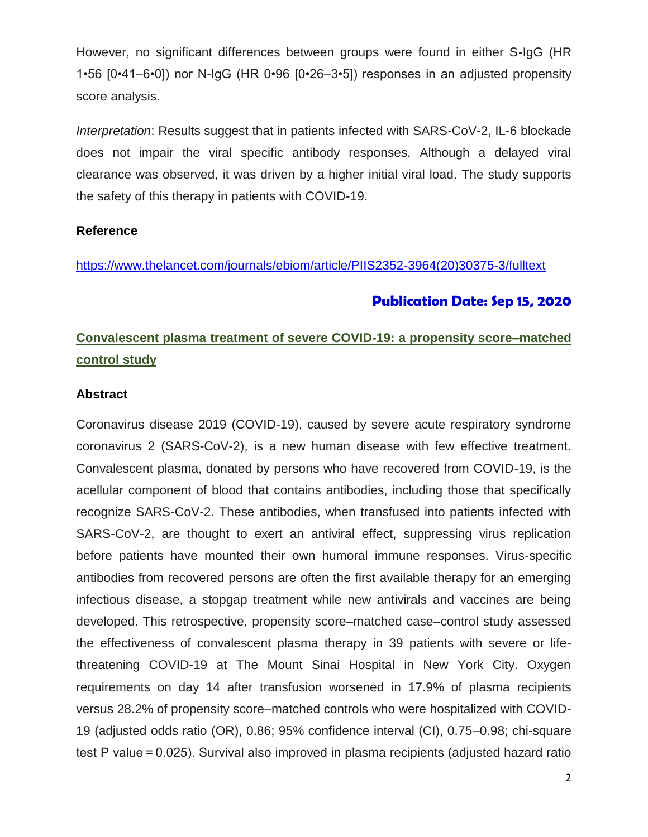However, no significant differences between groups were found in either S-IgG (HR 1•56 [0•41–6•0]) nor N-IgG (HR 0•96 [0•26–3•5]) responses in an adjusted propensity score analysis.

*Interpretation*: Results suggest that in patients infected with SARS-CoV-2, IL-6 blockade does not impair the viral specific antibody responses. Although a delayed viral clearance was observed, it was driven by a higher initial viral load. The study supports the safety of this therapy in patients with COVID-19.

### **Reference**

[https://www.thelancet.com/journals/ebiom/article/PIIS2352-3964\(20\)30375-3/fulltext](https://www.thelancet.com/journals/ebiom/article/PIIS2352-3964(20)30375-3/fulltext)

### **Publication Date: Sep 15, 2020**

## **Convalescent plasma treatment of severe COVID-19: a propensity score–matched control study**

### **Abstract**

Coronavirus disease 2019 (COVID-19), caused by severe acute respiratory syndrome coronavirus 2 (SARS-CoV-2), is a new human disease with few effective treatment. Convalescent plasma, donated by persons who have recovered from COVID-19, is the acellular component of blood that contains antibodies, including those that specifically recognize SARS-CoV-2. These antibodies, when transfused into patients infected with SARS-CoV-2, are thought to exert an antiviral effect, suppressing virus replication before patients have mounted their own humoral immune responses. Virus-specific antibodies from recovered persons are often the first available therapy for an emerging infectious disease, a stopgap treatment while new antivirals and vaccines are being developed. This retrospective, propensity score–matched case–control study assessed the effectiveness of convalescent plasma therapy in 39 patients with severe or lifethreatening COVID-19 at The Mount Sinai Hospital in New York City. Oxygen requirements on day 14 after transfusion worsened in 17.9% of plasma recipients versus 28.2% of propensity score–matched controls who were hospitalized with COVID-19 (adjusted odds ratio (OR), 0.86; 95% confidence interval (CI), 0.75–0.98; chi-square test P value = 0.025). Survival also improved in plasma recipients (adjusted hazard ratio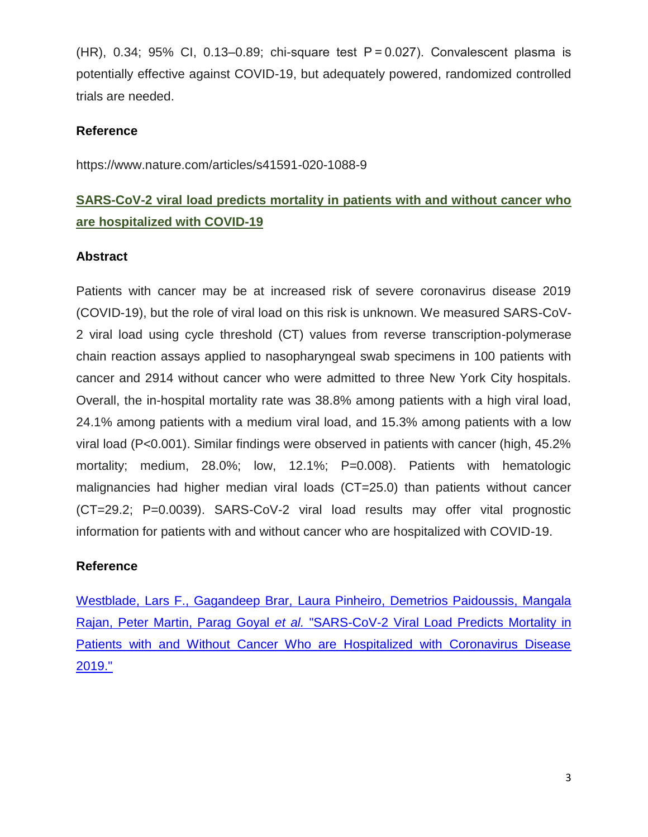(HR), 0.34; 95% CI, 0.13–0.89; chi-square test P = 0.027). Convalescent plasma is potentially effective against COVID-19, but adequately powered, randomized controlled trials are needed.

### **Reference**

<https://www.nature.com/articles/s41591-020-1088-9>

## **SARS-CoV-2 viral load predicts mortality in patients with and without cancer who are hospitalized with COVID-19**

### **Abstract**

Patients with cancer may be at increased risk of severe coronavirus disease 2019 (COVID-19), but the role of viral load on this risk is unknown. We measured SARS-CoV-2 viral load using cycle threshold (CT) values from reverse transcription-polymerase chain reaction assays applied to nasopharyngeal swab specimens in 100 patients with cancer and 2914 without cancer who were admitted to three New York City hospitals. Overall, the in-hospital mortality rate was 38.8% among patients with a high viral load, 24.1% among patients with a medium viral load, and 15.3% among patients with a low viral load (P<0.001). Similar findings were observed in patients with cancer (high, 45.2% mortality; medium, 28.0%; low, 12.1%; P=0.008). Patients with hematologic malignancies had higher median viral loads (CT=25.0) than patients without cancer (CT=29.2; P=0.0039). SARS-CoV-2 viral load results may offer vital prognostic information for patients with and without cancer who are hospitalized with COVID-19.

### **Reference**

Westblade, Lars F., Gagandeep Brar, Laura Pinheiro, Demetrios Paidoussis, Mangala Rajan, Peter Martin, Parag Goyal *et al.* "SARS-CoV-2 Viral Load Predicts Mortality in Patients with and Without Cancer Who are Hospitalized with Coronavirus Disease 2019."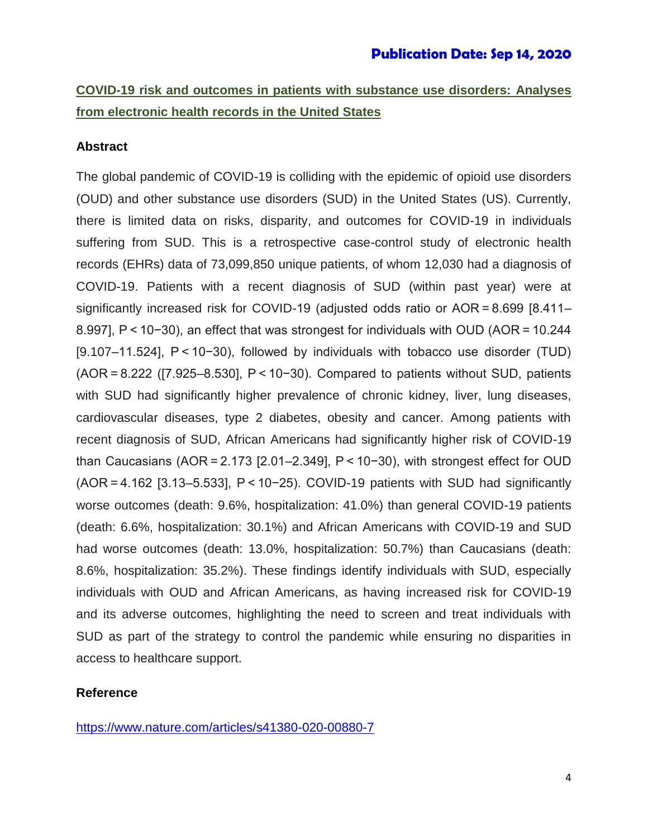## **COVID-19 risk and outcomes in patients with substance use disorders: Analyses from electronic health records in the United States**

### **Abstract**

The global pandemic of COVID-19 is colliding with the epidemic of opioid use disorders (OUD) and other substance use disorders (SUD) in the United States (US). Currently, there is limited data on risks, disparity, and outcomes for COVID-19 in individuals suffering from SUD. This is a retrospective case-control study of electronic health records (EHRs) data of 73,099,850 unique patients, of whom 12,030 had a diagnosis of COVID-19. Patients with a recent diagnosis of SUD (within past year) were at significantly increased risk for COVID-19 (adjusted odds ratio or AOR = 8.699 [8.411– 8.997], P < 10−30), an effect that was strongest for individuals with OUD (AOR = 10.244 [9.107–11.524], P < 10−30), followed by individuals with tobacco use disorder (TUD) (AOR = 8.222 ([7.925–8.530], P < 10−30). Compared to patients without SUD, patients with SUD had significantly higher prevalence of chronic kidney, liver, lung diseases, cardiovascular diseases, type 2 diabetes, obesity and cancer. Among patients with recent diagnosis of SUD, African Americans had significantly higher risk of COVID-19 than Caucasians (AOR = 2.173 [2.01–2.349], P < 10−30), with strongest effect for OUD (AOR = 4.162 [3.13–5.533], P < 10−25). COVID-19 patients with SUD had significantly worse outcomes (death: 9.6%, hospitalization: 41.0%) than general COVID-19 patients (death: 6.6%, hospitalization: 30.1%) and African Americans with COVID-19 and SUD had worse outcomes (death: 13.0%, hospitalization: 50.7%) than Caucasians (death: 8.6%, hospitalization: 35.2%). These findings identify individuals with SUD, especially individuals with OUD and African Americans, as having increased risk for COVID-19 and its adverse outcomes, highlighting the need to screen and treat individuals with SUD as part of the strategy to control the pandemic while ensuring no disparities in access to healthcare support.

### **Reference**

https://www.nature.com/articles/s41380-020-00880-7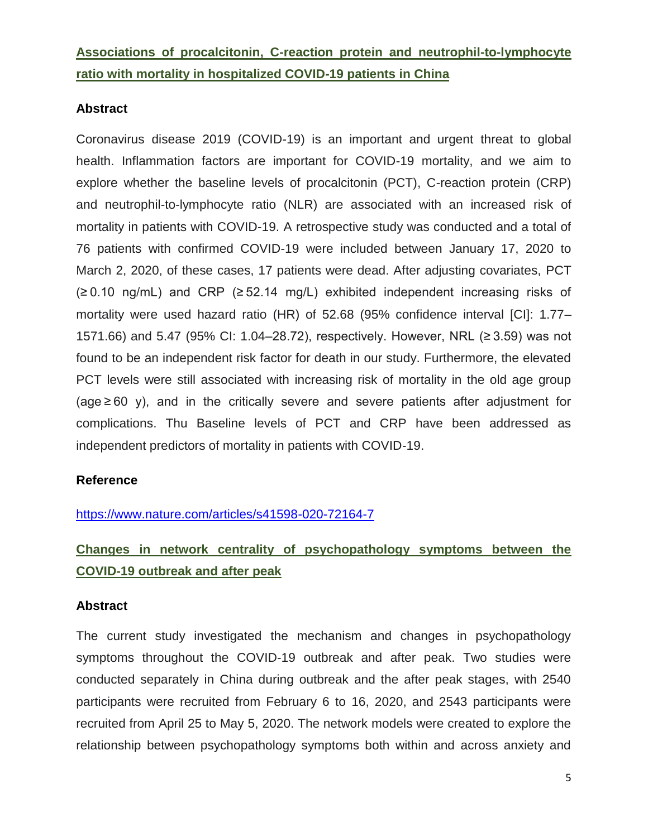## **Associations of procalcitonin, C-reaction protein and neutrophil-to-lymphocyte ratio with mortality in hospitalized COVID-19 patients in China**

### **Abstract**

Coronavirus disease 2019 (COVID-19) is an important and urgent threat to global health. Inflammation factors are important for COVID-19 mortality, and we aim to explore whether the baseline levels of procalcitonin (PCT), C-reaction protein (CRP) and neutrophil-to-lymphocyte ratio (NLR) are associated with an increased risk of mortality in patients with COVID-19. A retrospective study was conducted and a total of 76 patients with confirmed COVID-19 were included between January 17, 2020 to March 2, 2020, of these cases, 17 patients were dead. After adjusting covariates, PCT (≥ 0.10 ng/mL) and CRP (≥ 52.14 mg/L) exhibited independent increasing risks of mortality were used hazard ratio (HR) of 52.68 (95% confidence interval [CI]: 1.77– 1571.66) and 5.47 (95% CI: 1.04–28.72), respectively. However, NRL (≥ 3.59) was not found to be an independent risk factor for death in our study. Furthermore, the elevated PCT levels were still associated with increasing risk of mortality in the old age group (age ≥ 60 y), and in the critically severe and severe patients after adjustment for complications. Thu Baseline levels of PCT and CRP have been addressed as independent predictors of mortality in patients with COVID-19.

### **Reference**

### <https://www.nature.com/articles/s41598-020-72164-7>

# **Changes in network centrality of psychopathology symptoms between the COVID-19 outbreak and after peak**

### **Abstract**

The current study investigated the mechanism and changes in psychopathology symptoms throughout the COVID-19 outbreak and after peak. Two studies were conducted separately in China during outbreak and the after peak stages, with 2540 participants were recruited from February 6 to 16, 2020, and 2543 participants were recruited from April 25 to May 5, 2020. The network models were created to explore the relationship between psychopathology symptoms both within and across anxiety and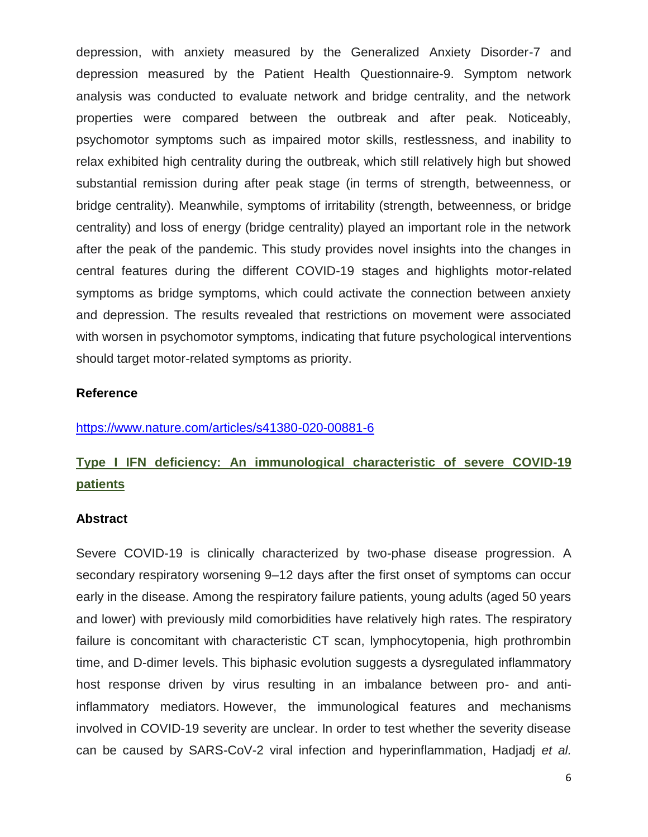depression, with anxiety measured by the Generalized Anxiety Disorder-7 and depression measured by the Patient Health Questionnaire-9. Symptom network analysis was conducted to evaluate network and bridge centrality, and the network properties were compared between the outbreak and after peak. Noticeably, psychomotor symptoms such as impaired motor skills, restlessness, and inability to relax exhibited high centrality during the outbreak, which still relatively high but showed substantial remission during after peak stage (in terms of strength, betweenness, or bridge centrality). Meanwhile, symptoms of irritability (strength, betweenness, or bridge centrality) and loss of energy (bridge centrality) played an important role in the network after the peak of the pandemic. This study provides novel insights into the changes in central features during the different COVID-19 stages and highlights motor-related symptoms as bridge symptoms, which could activate the connection between anxiety and depression. The results revealed that restrictions on movement were associated with worsen in psychomotor symptoms, indicating that future psychological interventions should target motor-related symptoms as priority.

#### **Reference**

https://www.nature.com/articles/s41380-020-00881-6

## **Type I IFN deficiency: An immunological characteristic of severe COVID-19 patients**

#### **Abstract**

Severe COVID-19 is clinically characterized by two-phase disease progression. A secondary respiratory worsening 9–12 days after the first onset of symptoms can occur early in the disease. Among the respiratory failure patients, young adults (aged 50 years and lower) with previously mild comorbidities have relatively high rates. The respiratory failure is concomitant with characteristic CT scan, lymphocytopenia, high prothrombin time, and D-dimer levels. This biphasic evolution suggests a dysregulated inflammatory host response driven by virus resulting in an imbalance between pro- and antiinflammatory mediators. However, the immunological features and mechanisms involved in COVID-19 severity are unclear. In order to test whether the severity disease can be caused by SARS-CoV-2 viral infection and hyperinflammation, Hadjadj *et al.*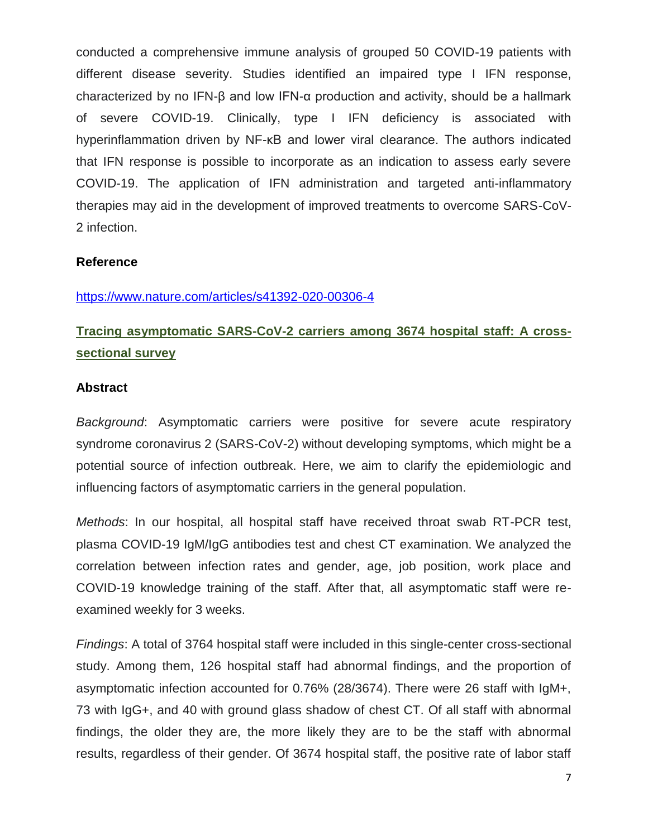conducted a comprehensive immune analysis of grouped 50 COVID-19 patients with different disease severity. Studies identified an impaired type I IFN response, characterized by no IFN-β and low IFN-α production and activity, should be a hallmark of severe COVID-19. Clinically, type I IFN deficiency is associated with hyperinflammation driven by NF-κB and lower viral clearance. The authors indicated that IFN response is possible to incorporate as an indication to assess early severe COVID-19. The application of IFN administration and targeted anti-inflammatory therapies may aid in the development of improved treatments to overcome SARS-CoV-2 infection.

### **Reference**

### https://www.nature.com/articles/s41392-020-00306-4

# **Tracing asymptomatic SARS-CoV-2 carriers among 3674 hospital staff: A crosssectional survey**

### **Abstract**

*Background*: Asymptomatic carriers were positive for severe acute respiratory syndrome coronavirus 2 (SARS-CoV-2) without developing symptoms, which might be a potential source of infection outbreak. Here, we aim to clarify the epidemiologic and influencing factors of asymptomatic carriers in the general population.

*Methods*: In our hospital, all hospital staff have received throat swab RT-PCR test, plasma COVID-19 IgM/IgG antibodies test and chest CT examination. We analyzed the correlation between infection rates and gender, age, job position, work place and COVID-19 knowledge training of the staff. After that, all asymptomatic staff were reexamined weekly for 3 weeks.

*Findings*: A total of 3764 hospital staff were included in this single-center cross-sectional study. Among them, 126 hospital staff had abnormal findings, and the proportion of asymptomatic infection accounted for 0.76% (28/3674). There were 26 staff with IgM+, 73 with IgG+, and 40 with ground glass shadow of chest CT. Of all staff with abnormal findings, the older they are, the more likely they are to be the staff with abnormal results, regardless of their gender. Of 3674 hospital staff, the positive rate of labor staff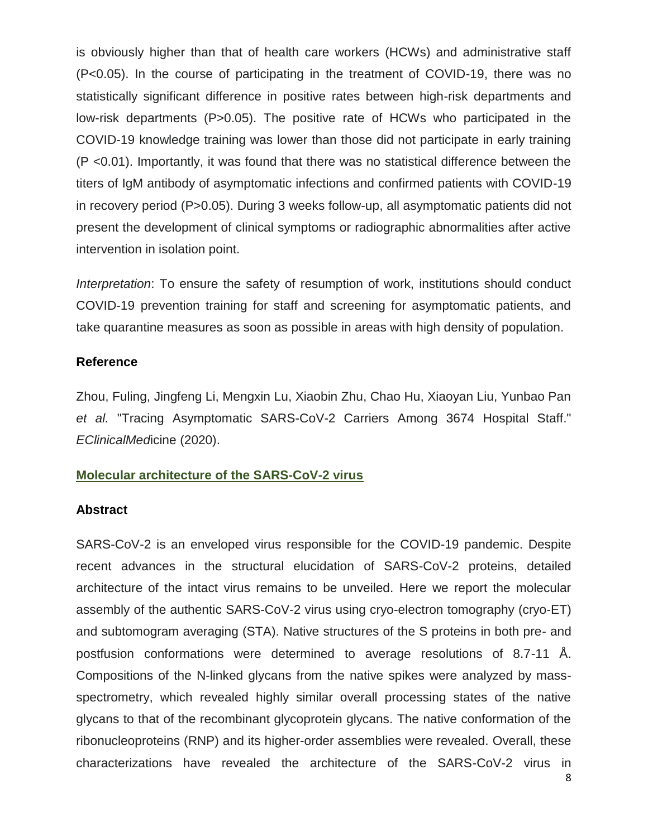is obviously higher than that of health care workers (HCWs) and administrative staff (P<0.05). In the course of participating in the treatment of COVID-19, there was no statistically significant difference in positive rates between high-risk departments and low-risk departments (P>0.05). The positive rate of HCWs who participated in the COVID-19 knowledge training was lower than those did not participate in early training (P <0.01). Importantly, it was found that there was no statistical difference between the titers of IgM antibody of asymptomatic infections and confirmed patients with COVID-19 in recovery period (P>0.05). During 3 weeks follow-up, all asymptomatic patients did not present the development of clinical symptoms or radiographic abnormalities after active intervention in isolation point.

*Interpretation*: To ensure the safety of resumption of work, institutions should conduct COVID-19 prevention training for staff and screening for asymptomatic patients, and take quarantine measures as soon as possible in areas with high density of population.

### **Reference**

Zhou, Fuling, Jingfeng Li, Mengxin Lu, Xiaobin Zhu, Chao Hu, Xiaoyan Liu, Yunbao Pan *et al.* "Tracing Asymptomatic SARS-CoV-2 Carriers Among 3674 Hospital Staff." *EClinicalMed*icine (2020).

### **Molecular architecture of the SARS-CoV-2 virus**

### **Abstract**

SARS-CoV-2 is an enveloped virus responsible for the COVID-19 pandemic. Despite recent advances in the structural elucidation of SARS-CoV-2 proteins, detailed architecture of the intact virus remains to be unveiled. Here we report the molecular assembly of the authentic SARS-CoV-2 virus using cryo-electron tomography (cryo-ET) and subtomogram averaging (STA). Native structures of the S proteins in both pre- and postfusion conformations were determined to average resolutions of 8.7-11 Å. Compositions of the N-linked glycans from the native spikes were analyzed by massspectrometry, which revealed highly similar overall processing states of the native glycans to that of the recombinant glycoprotein glycans. The native conformation of the ribonucleoproteins (RNP) and its higher-order assemblies were revealed. Overall, these characterizations have revealed the architecture of the SARS-CoV-2 virus in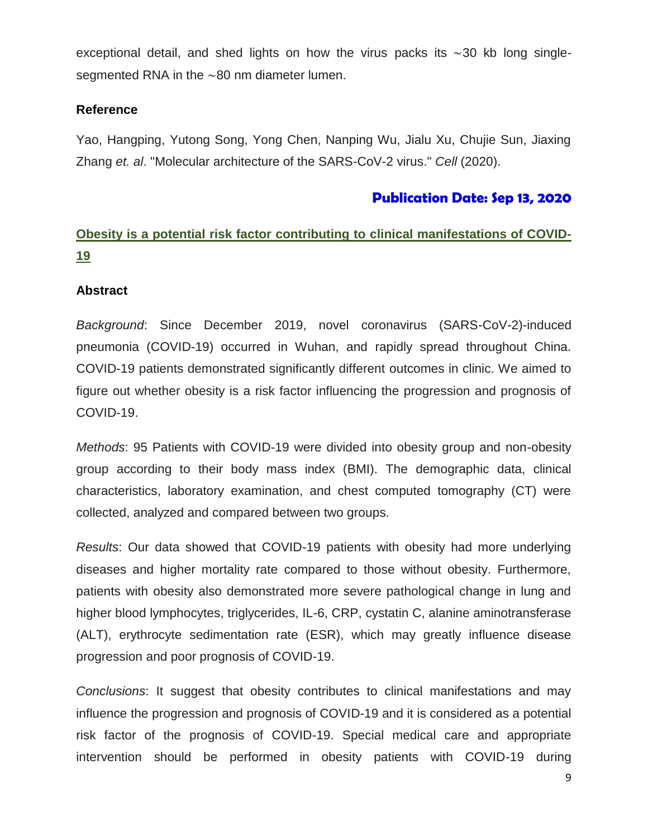exceptional detail, and shed lights on how the virus packs its ∼30 kb long singlesegmented RNA in the ∼80 nm diameter lumen.

### **Reference**

Yao, Hangping, Yutong Song, Yong Chen, Nanping Wu, Jialu Xu, Chujie Sun, Jiaxing Zhang *et. al*. "Molecular architecture of the SARS-CoV-2 virus." *Cell* (2020).

### **Publication Date: Sep 13, 2020**

# **Obesity is a potential risk factor contributing to clinical manifestations of COVID-19**

### **Abstract**

*Background*: Since December 2019, novel coronavirus (SARS-CoV-2)-induced pneumonia (COVID-19) occurred in Wuhan, and rapidly spread throughout China. COVID-19 patients demonstrated significantly different outcomes in clinic. We aimed to figure out whether obesity is a risk factor influencing the progression and prognosis of COVID-19.

*Methods*: 95 Patients with COVID-19 were divided into obesity group and non-obesity group according to their body mass index (BMI). The demographic data, clinical characteristics, laboratory examination, and chest computed tomography (CT) were collected, analyzed and compared between two groups.

*Results*: Our data showed that COVID-19 patients with obesity had more underlying diseases and higher mortality rate compared to those without obesity. Furthermore, patients with obesity also demonstrated more severe pathological change in lung and higher blood lymphocytes, triglycerides, IL-6, CRP, cystatin C, alanine aminotransferase (ALT), erythrocyte sedimentation rate (ESR), which may greatly influence disease progression and poor prognosis of COVID-19.

*Conclusions*: It suggest that obesity contributes to clinical manifestations and may influence the progression and prognosis of COVID-19 and it is considered as a potential risk factor of the prognosis of COVID-19. Special medical care and appropriate intervention should be performed in obesity patients with COVID-19 during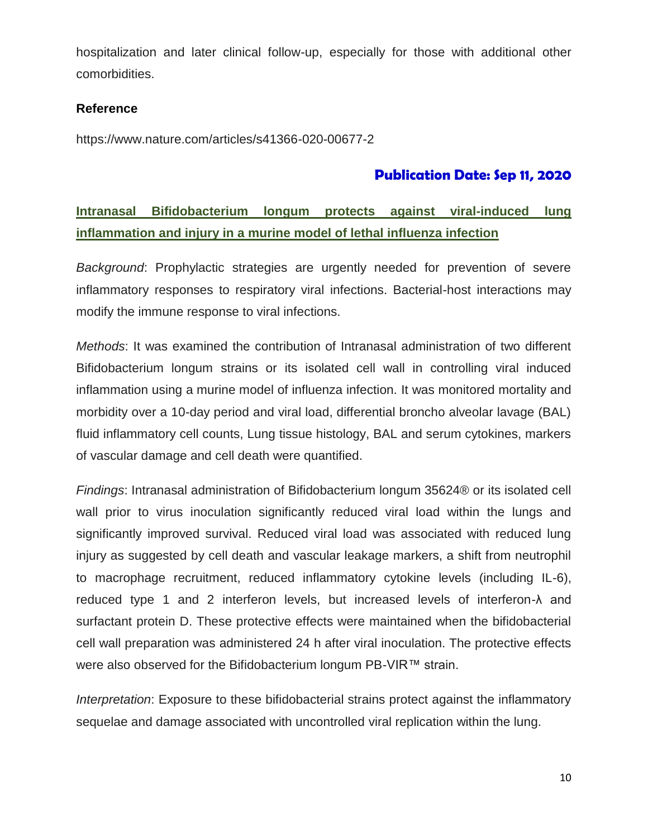hospitalization and later clinical follow-up, especially for those with additional other comorbidities.

### **Reference**

https://www.nature.com/articles/s41366-020-00677-2

### **Publication Date: Sep 11, 2020**

## **Intranasal Bifidobacterium longum protects against viral-induced lung inflammation and injury in a murine model of lethal influenza infection**

*Background*: Prophylactic strategies are urgently needed for prevention of severe inflammatory responses to respiratory viral infections. Bacterial-host interactions may modify the immune response to viral infections.

*Methods*: It was examined the contribution of Intranasal administration of two different Bifidobacterium longum strains or its isolated cell wall in controlling viral induced inflammation using a murine model of influenza infection. It was monitored mortality and morbidity over a 10-day period and viral load, differential broncho alveolar lavage (BAL) fluid inflammatory cell counts, Lung tissue histology, BAL and serum cytokines, markers of vascular damage and cell death were quantified.

*Findings*: Intranasal administration of Bifidobacterium longum 35624® or its isolated cell wall prior to virus inoculation significantly reduced viral load within the lungs and significantly improved survival. Reduced viral load was associated with reduced lung injury as suggested by cell death and vascular leakage markers, a shift from neutrophil to macrophage recruitment, reduced inflammatory cytokine levels (including IL-6), reduced type 1 and 2 interferon levels, but increased levels of interferon-λ and surfactant protein D. These protective effects were maintained when the bifidobacterial cell wall preparation was administered 24 h after viral inoculation. The protective effects were also observed for the Bifidobacterium longum PB-VIR™ strain.

*Interpretation*: Exposure to these bifidobacterial strains protect against the inflammatory sequelae and damage associated with uncontrolled viral replication within the lung.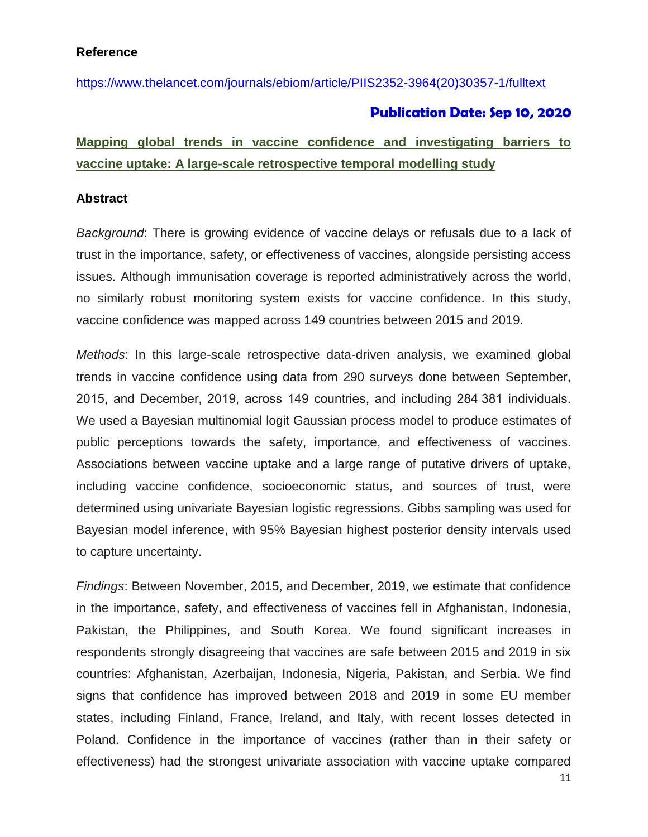### **Reference**

[https://www.thelancet.com/journals/ebiom/article/PIIS2352-3964\(20\)30357-1/fulltext](https://www.thelancet.com/journals/ebiom/article/PIIS2352-3964(20)30357-1/fulltext)

### **Publication Date: Sep 10, 2020**

## **Mapping global trends in vaccine confidence and investigating barriers to vaccine uptake: A large-scale retrospective temporal modelling study**

#### **Abstract**

*Background*: There is growing evidence of vaccine delays or refusals due to a lack of trust in the importance, safety, or effectiveness of vaccines, alongside persisting access issues. Although immunisation coverage is reported administratively across the world, no similarly robust monitoring system exists for vaccine confidence. In this study, vaccine confidence was mapped across 149 countries between 2015 and 2019.

*Methods*: In this large-scale retrospective data-driven analysis, we examined global trends in vaccine confidence using data from 290 surveys done between September, 2015, and December, 2019, across 149 countries, and including 284 381 individuals. We used a Bayesian multinomial logit Gaussian process model to produce estimates of public perceptions towards the safety, importance, and effectiveness of vaccines. Associations between vaccine uptake and a large range of putative drivers of uptake, including vaccine confidence, socioeconomic status, and sources of trust, were determined using univariate Bayesian logistic regressions. Gibbs sampling was used for Bayesian model inference, with 95% Bayesian highest posterior density intervals used to capture uncertainty.

*Findings*: Between November, 2015, and December, 2019, we estimate that confidence in the importance, safety, and effectiveness of vaccines fell in Afghanistan, Indonesia, Pakistan, the Philippines, and South Korea. We found significant increases in respondents strongly disagreeing that vaccines are safe between 2015 and 2019 in six countries: Afghanistan, Azerbaijan, Indonesia, Nigeria, Pakistan, and Serbia. We find signs that confidence has improved between 2018 and 2019 in some EU member states, including Finland, France, Ireland, and Italy, with recent losses detected in Poland. Confidence in the importance of vaccines (rather than in their safety or effectiveness) had the strongest univariate association with vaccine uptake compared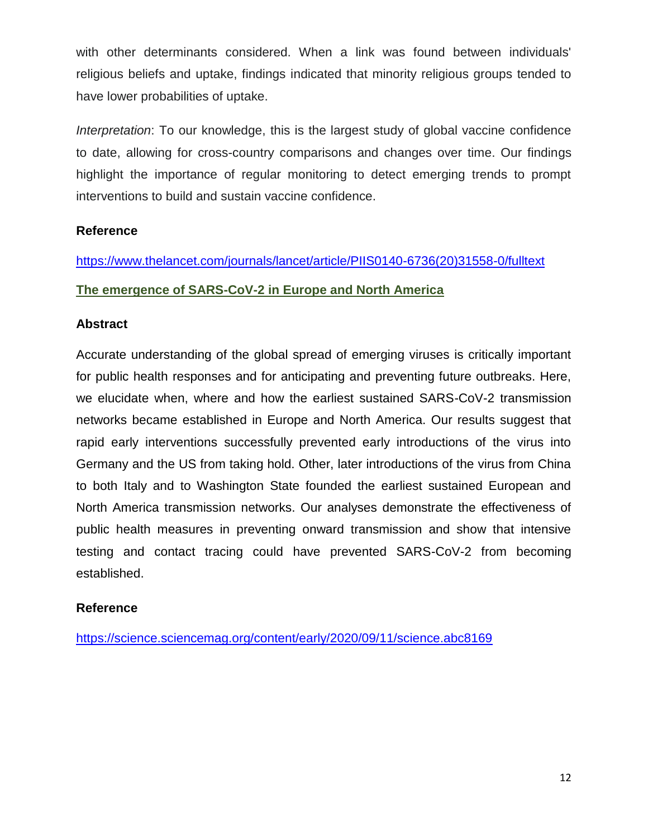with other determinants considered. When a link was found between individuals' religious beliefs and uptake, findings indicated that minority religious groups tended to have lower probabilities of uptake.

*Interpretation*: To our knowledge, this is the largest study of global vaccine confidence to date, allowing for cross-country comparisons and changes over time. Our findings highlight the importance of regular monitoring to detect emerging trends to prompt interventions to build and sustain vaccine confidence.

### **Reference**

[https://www.thelancet.com/journals/lancet/article/PIIS0140-6736\(20\)31558-0/fulltext](https://www.thelancet.com/journals/lancet/article/PIIS0140-6736(20)31558-0/fulltext)

### **The emergence of SARS-CoV-2 in Europe and North America**

### **Abstract**

Accurate understanding of the global spread of emerging viruses is critically important for public health responses and for anticipating and preventing future outbreaks. Here, we elucidate when, where and how the earliest sustained SARS-CoV-2 transmission networks became established in Europe and North America. Our results suggest that rapid early interventions successfully prevented early introductions of the virus into Germany and the US from taking hold. Other, later introductions of the virus from China to both Italy and to Washington State founded the earliest sustained European and North America transmission networks. Our analyses demonstrate the effectiveness of public health measures in preventing onward transmission and show that intensive testing and contact tracing could have prevented SARS-CoV-2 from becoming established.

### **Reference**

https://science.sciencemag.org/content/early/2020/09/11/science.abc8169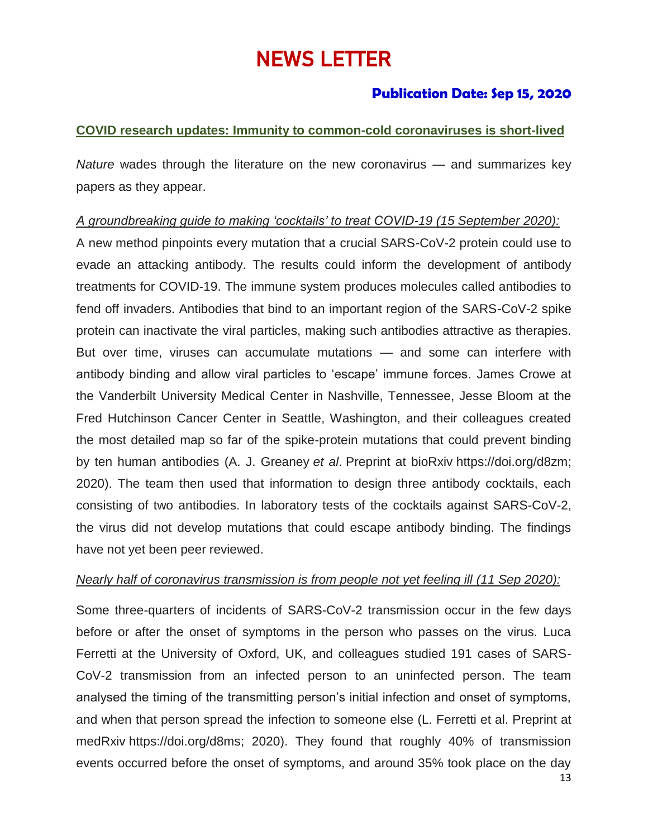# NEWS LETTER

### **Publication Date: Sep 15, 2020**

### **COVID research updates: Immunity to common-cold coronaviruses is short-lived**

*Nature* wades through the literature on the new coronavirus — and summarizes key papers as they appear.

### *A groundbreaking guide to making 'cocktails' to treat COVID-19 (15 September 2020):*

A new method pinpoints every mutation that a crucial SARS-CoV-2 protein could use to evade an attacking antibody. The results could inform the development of antibody treatments for COVID-19. The immune system produces molecules called antibodies to fend off invaders. Antibodies that bind to an important region of the SARS-CoV-2 spike protein can inactivate the viral particles, making such antibodies attractive as therapies. But over time, viruses can accumulate mutations — and some can interfere with antibody binding and allow viral particles to 'escape' immune forces. James Crowe at the Vanderbilt University Medical Center in Nashville, Tennessee, Jesse Bloom at the Fred Hutchinson Cancer Center in Seattle, Washington, and their colleagues created the most detailed map so far of the spike-protein mutations that could prevent binding by ten human antibodies (A. J. Greaney *et al*. Preprint at bioRxiv [https://doi.org/d8zm;](https://doi.org/10.1101/2020.09.10.292078) 2020). The team then used that information to design three antibody cocktails, each consisting of two antibodies. In laboratory tests of the cocktails against SARS-CoV-2, the virus did not develop mutations that could escape antibody binding. The findings have not yet been peer reviewed.

### *Nearly half of coronavirus transmission is from people not yet feeling ill (11 Sep 2020):*

Some three-quarters of incidents of SARS-CoV-2 transmission occur in the few days before or after the onset of symptoms in the person who passes on the virus. Luca Ferretti at the University of Oxford, UK, and colleagues studied 191 cases of SARS-CoV-2 transmission from an infected person to an uninfected person. The team analysed the timing of the transmitting person's initial infection and onset of symptoms, and when that person spread the infection to someone else (L. Ferretti et al. Preprint at medRxiv [https://doi.org/d8ms;](https://doi.org/d8ms) 2020). They found that roughly 40% of transmission events occurred before the onset of symptoms, and around 35% took place on the day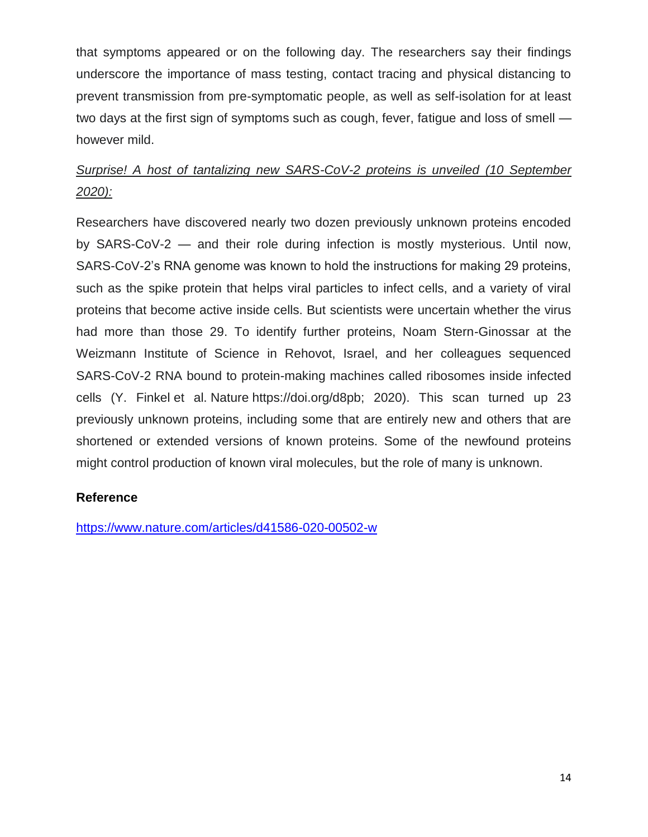that symptoms appeared or on the following day. The researchers say their findings underscore the importance of mass testing, contact tracing and physical distancing to prevent transmission from pre-symptomatic people, as well as self-isolation for at least two days at the first sign of symptoms such as cough, fever, fatigue and loss of smell however mild.

# *Surprise! A host of tantalizing new SARS-CoV-2 proteins is unveiled (10 September 2020):*

Researchers have discovered nearly two dozen previously unknown proteins encoded by SARS-CoV-2 — and their role during infection is mostly mysterious. Until now, SARS-CoV-2's RNA genome was known to hold the instructions for making 29 proteins, such as the spike protein that helps viral particles to infect cells, and a variety of viral proteins that become active inside cells. But scientists were uncertain whether the virus had more than those 29. To identify further proteins, Noam Stern-Ginossar at the Weizmann Institute of Science in Rehovot, Israel, and her colleagues sequenced SARS-CoV-2 RNA bound to protein-making machines called ribosomes inside infected cells (Y. Finkel et al. Nature [https://doi.org/d8pb;](https://doi.org/d8pb) 2020). This scan turned up 23 previously unknown proteins, including some that are entirely new and others that are shortened or extended versions of known proteins. Some of the newfound proteins might control production of known viral molecules, but the role of many is unknown.

### **Reference**

<https://www.nature.com/articles/d41586-020-00502-w>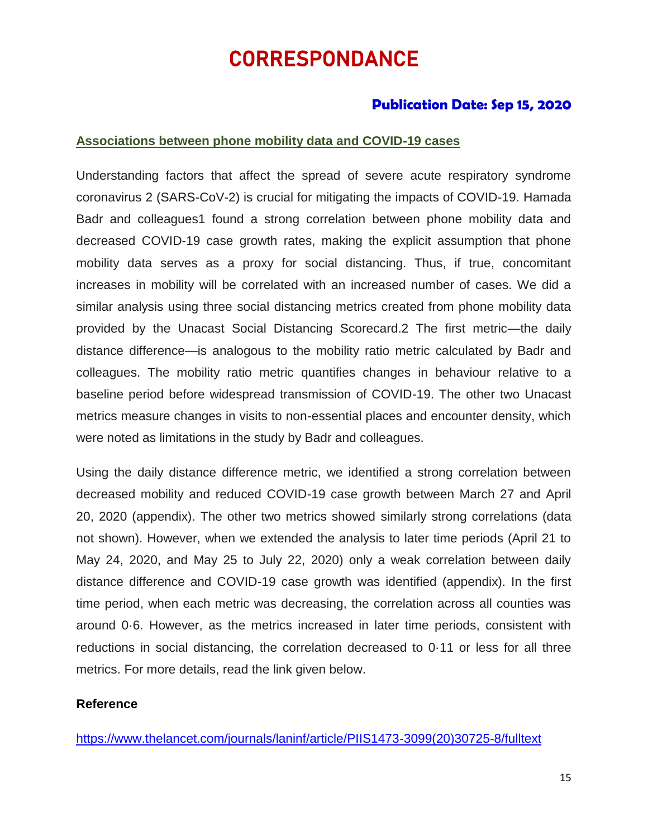# CORRESPONDANCE

### **Publication Date: Sep 15, 2020**

### **Associations between phone mobility data and COVID-19 cases**

Understanding factors that affect the spread of severe acute respiratory syndrome coronavirus 2 (SARS-CoV-2) is crucial for mitigating the impacts of COVID-19. Hamada Badr and colleagues1 found a strong correlation between phone mobility data and decreased COVID-19 case growth rates, making the explicit assumption that phone mobility data serves as a proxy for social distancing. Thus, if true, concomitant increases in mobility will be correlated with an increased number of cases. We did a similar analysis using three social distancing metrics created from phone mobility data provided by the Unacast Social Distancing Scorecard.2 The first metric—the daily distance difference—is analogous to the mobility ratio metric calculated by Badr and colleagues. The mobility ratio metric quantifies changes in behaviour relative to a baseline period before widespread transmission of COVID-19. The other two Unacast metrics measure changes in visits to non-essential places and encounter density, which were noted as limitations in the study by Badr and colleagues.

Using the daily distance difference metric, we identified a strong correlation between decreased mobility and reduced COVID-19 case growth between March 27 and April 20, 2020 (appendix). The other two metrics showed similarly strong correlations (data not shown). However, when we extended the analysis to later time periods (April 21 to May 24, 2020, and May 25 to July 22, 2020) only a weak correlation between daily distance difference and COVID-19 case growth was identified (appendix). In the first time period, when each metric was decreasing, the correlation across all counties was around 0·6. However, as the metrics increased in later time periods, consistent with reductions in social distancing, the correlation decreased to 0·11 or less for all three metrics. For more details, read the link given below.

### **Reference**

[https://www.thelancet.com/journals/laninf/article/PIIS1473-3099\(20\)30725-8/fulltext](https://www.thelancet.com/journals/laninf/article/PIIS1473-3099(20)30725-8/fulltext)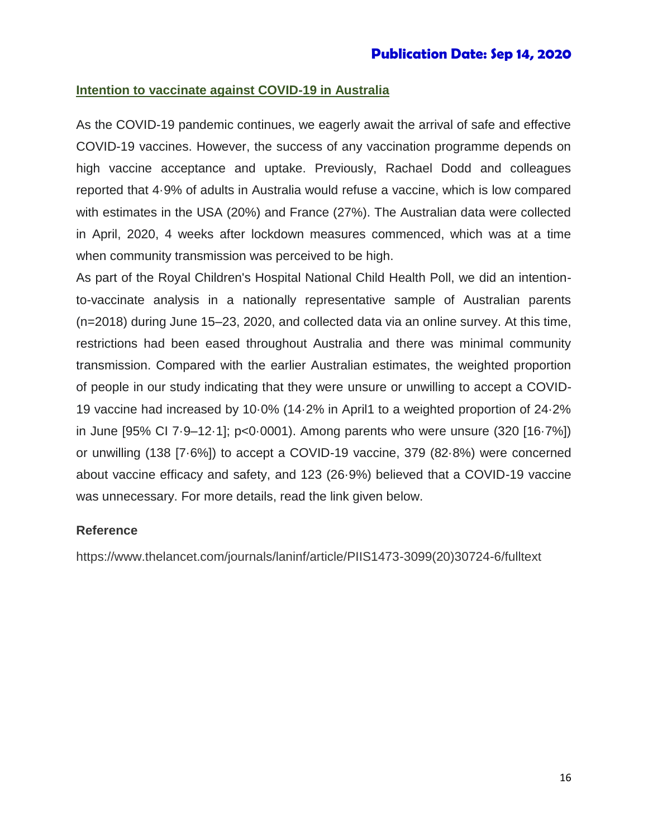### **Intention to vaccinate against COVID-19 in Australia**

As the COVID-19 pandemic continues, we eagerly await the arrival of safe and effective COVID-19 vaccines. However, the success of any vaccination programme depends on high vaccine acceptance and uptake. Previously, Rachael Dodd and colleagues reported that 4·9% of adults in Australia would refuse a vaccine, which is low compared with estimates in the USA (20%) and France (27%). The Australian data were collected in April, 2020, 4 weeks after lockdown measures commenced, which was at a time when community transmission was perceived to be high.

As part of the Royal Children's Hospital National Child Health Poll, we did an intentionto-vaccinate analysis in a nationally representative sample of Australian parents (n=2018) during June 15–23, 2020, and collected data via an online survey. At this time, restrictions had been eased throughout Australia and there was minimal community transmission. Compared with the earlier Australian estimates, the weighted proportion of people in our study indicating that they were unsure or unwilling to accept a COVID-19 vaccine had increased by 10·0% (14·2% in April1 to a weighted proportion of 24·2% in June [95% CI 7·9–12·1]; p<0·0001). Among parents who were unsure (320 [16·7%]) or unwilling (138 [7·6%]) to accept a COVID-19 vaccine, 379 (82·8%) were concerned about vaccine efficacy and safety, and 123 (26·9%) believed that a COVID-19 vaccine was unnecessary. For more details, read the link given below.

#### **Reference**

https://www.thelancet.com/journals/laninf/article/PIIS1473-3099(20)30724-6/fulltext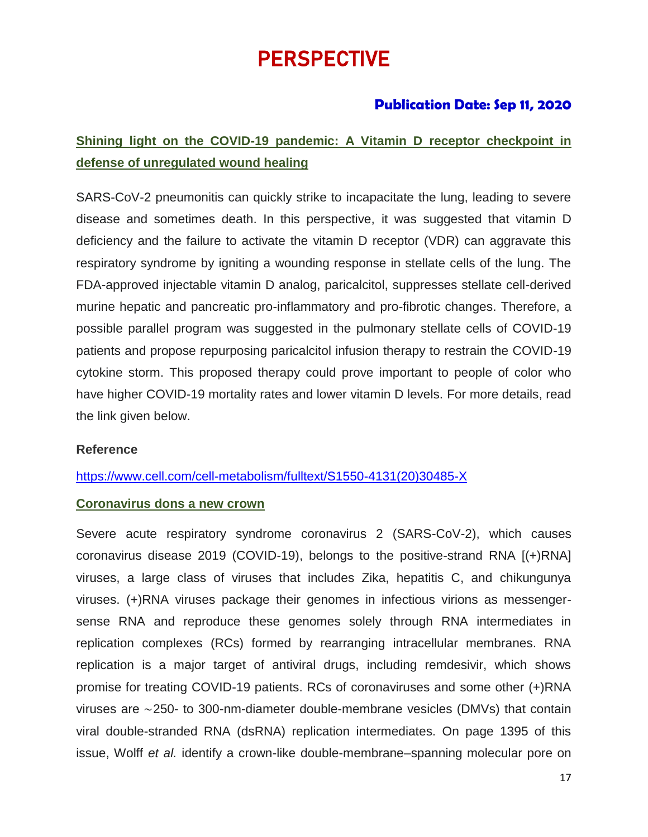# PERSPECTIVE

## **Publication Date: Sep 11, 2020**

## **Shining light on the COVID-19 pandemic: A Vitamin D receptor checkpoint in defense of unregulated wound healing**

SARS-CoV-2 pneumonitis can quickly strike to incapacitate the lung, leading to severe disease and sometimes death. In this perspective, it was suggested that vitamin D deficiency and the failure to activate the vitamin D receptor (VDR) can aggravate this respiratory syndrome by igniting a wounding response in stellate cells of the lung. The FDA-approved injectable vitamin D analog, paricalcitol, suppresses stellate cell-derived murine hepatic and pancreatic pro-inflammatory and pro-fibrotic changes. Therefore, a possible parallel program was suggested in the pulmonary stellate cells of COVID-19 patients and propose repurposing paricalcitol infusion therapy to restrain the COVID-19 cytokine storm. This proposed therapy could prove important to people of color who have higher COVID-19 mortality rates and lower vitamin D levels. For more details, read the link given below.

### **Reference**

### [https://www.cell.com/cell-metabolism/fulltext/S1550-4131\(20\)30485-X](https://www.cell.com/cell-metabolism/fulltext/S1550-4131(20)30485-X)

#### **Coronavirus dons a new crown**

Severe acute respiratory syndrome coronavirus 2 (SARS-CoV-2), which causes coronavirus disease 2019 (COVID-19), belongs to the positive-strand RNA [(+)RNA] viruses, a large class of viruses that includes Zika, hepatitis C, and chikungunya viruses. (+)RNA viruses package their genomes in infectious virions as messengersense RNA and reproduce these genomes solely through RNA intermediates in replication complexes (RCs) formed by rearranging intracellular membranes. RNA replication is a major target of antiviral drugs, including remdesivir, which shows promise for treating COVID-19 patients. RCs of coronaviruses and some other (+)RNA viruses are ∼250- to 300-nm-diameter double-membrane vesicles (DMVs) that contain viral double-stranded RNA (dsRNA) replication intermediates. On page 1395 of this issue, Wolff *et al.* identify a crown-like double-membrane–spanning molecular pore on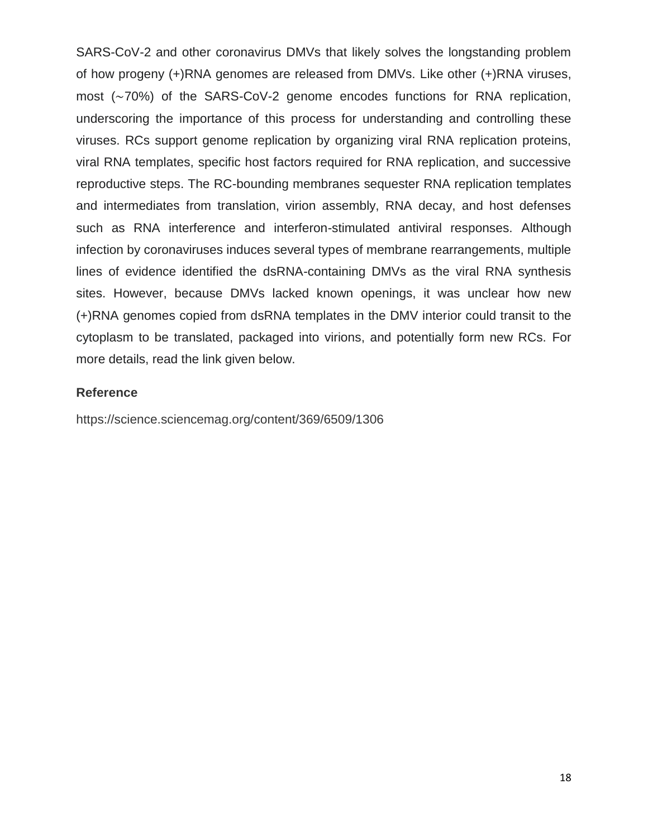SARS-CoV-2 and other coronavirus DMVs that likely solves the longstanding problem of how progeny (+)RNA genomes are released from DMVs. Like other (+)RNA viruses, most (∼70%) of the SARS-CoV-2 genome encodes functions for RNA replication, underscoring the importance of this process for understanding and controlling these viruses. RCs support genome replication by organizing viral RNA replication proteins, viral RNA templates, specific host factors required for RNA replication, and successive reproductive steps. The RC-bounding membranes sequester RNA replication templates and intermediates from translation, virion assembly, RNA decay, and host defenses such as RNA interference and interferon-stimulated antiviral responses. Although infection by coronaviruses induces several types of membrane rearrangements, multiple lines of evidence identified the dsRNA-containing DMVs as the viral RNA synthesis sites. However, because DMVs lacked known openings, it was unclear how new (+)RNA genomes copied from dsRNA templates in the DMV interior could transit to the cytoplasm to be translated, packaged into virions, and potentially form new RCs. For more details, read the link given below.

### **Reference**

https://science.sciencemag.org/content/369/6509/1306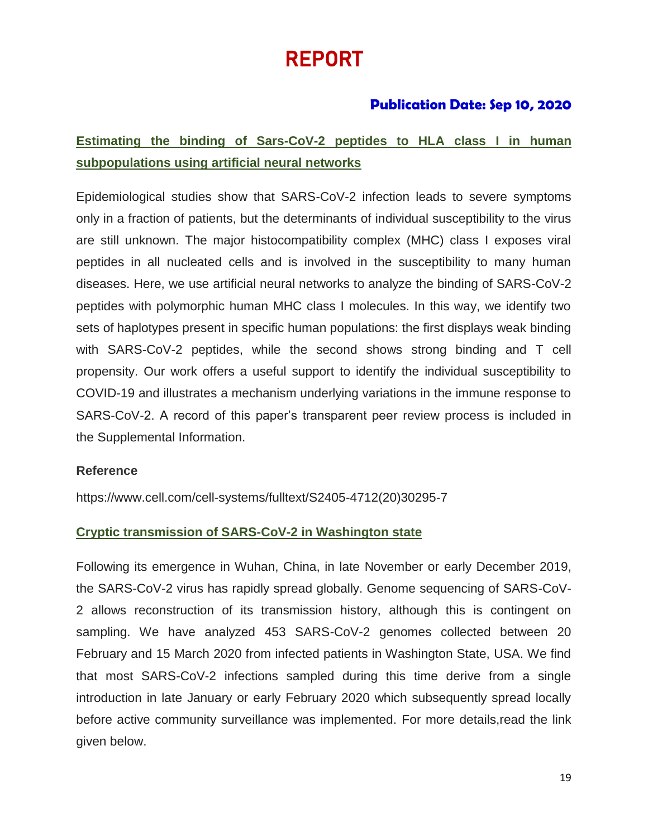# REPORT

## **Publication Date: Sep 10, 2020**

## **Estimating the binding of Sars-CoV-2 peptides to HLA class I in human subpopulations using artificial neural networks**

Epidemiological studies show that SARS-CoV-2 infection leads to severe symptoms only in a fraction of patients, but the determinants of individual susceptibility to the virus are still unknown. The major histocompatibility complex (MHC) class I exposes viral peptides in all nucleated cells and is involved in the susceptibility to many human diseases. Here, we use artificial neural networks to analyze the binding of SARS-CoV-2 peptides with polymorphic human MHC class I molecules. In this way, we identify two sets of haplotypes present in specific human populations: the first displays weak binding with SARS-CoV-2 peptides, while the second shows strong binding and T cell propensity. Our work offers a useful support to identify the individual susceptibility to COVID-19 and illustrates a mechanism underlying variations in the immune response to SARS-CoV-2. A record of this paper's transparent peer review process is included in the Supplemental Information.

### **Reference**

https://www.cell.com/cell-systems/fulltext/S2405-4712(20)30295-7

### **Cryptic transmission of SARS-CoV-2 in Washington state**

Following its emergence in Wuhan, China, in late November or early December 2019, the SARS-CoV-2 virus has rapidly spread globally. Genome sequencing of SARS-CoV-2 allows reconstruction of its transmission history, although this is contingent on sampling. We have analyzed 453 SARS-CoV-2 genomes collected between 20 February and 15 March 2020 from infected patients in Washington State, USA. We find that most SARS-CoV-2 infections sampled during this time derive from a single introduction in late January or early February 2020 which subsequently spread locally before active community surveillance was implemented. For more details,read the link given below.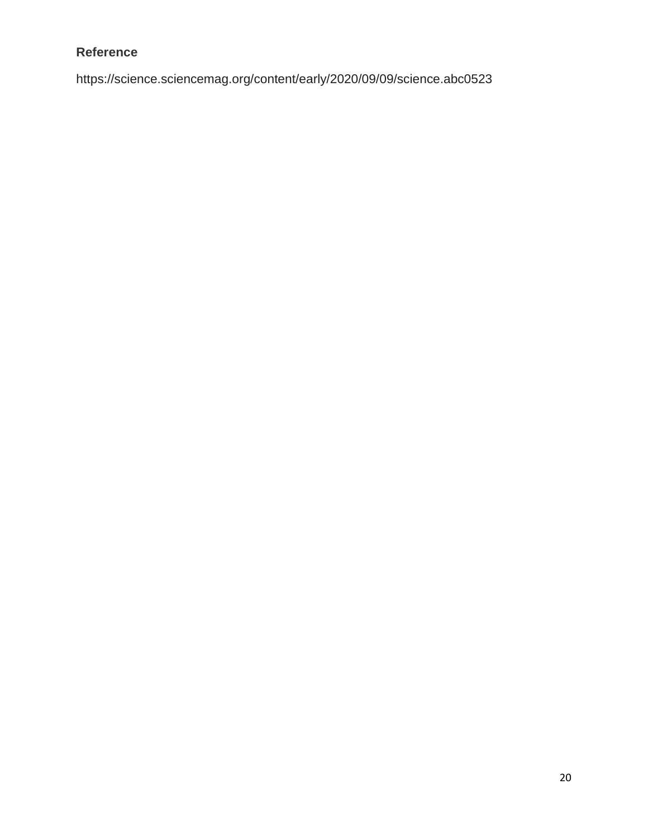### **Reference**

https://science.sciencemag.org/content/early/2020/09/09/science.abc0523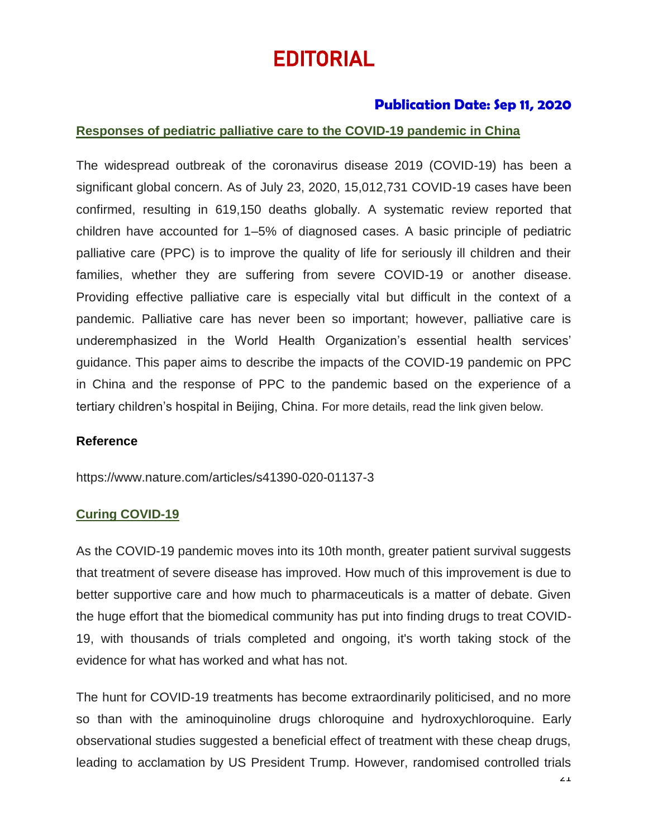# EDITORIAL

### **Publication Date: Sep 11, 2020**

### **Responses of pediatric palliative care to the COVID-19 pandemic in China**

The widespread outbreak of the coronavirus disease 2019 (COVID-19) has been a significant global concern. As of July 23, 2020, 15,012,731 COVID-19 cases have been confirmed, resulting in 619,150 deaths globally. A systematic review reported that children have accounted for 1–5% of diagnosed cases. A basic principle of pediatric palliative care (PPC) is to improve the quality of life for seriously ill children and their families, whether they are suffering from severe COVID-19 or another disease. Providing effective palliative care is especially vital but difficult in the context of a pandemic. Palliative care has never been so important; however, palliative care is underemphasized in the World Health Organization's essential health services' guidance. This paper aims to describe the impacts of the COVID-19 pandemic on PPC in China and the response of PPC to the pandemic based on the experience of a tertiary children's hospital in Beijing, China. For more details, read the link given below.

### **Reference**

<https://www.nature.com/articles/s41390-020-01137-3>

### **Curing COVID-19**

As the COVID-19 pandemic moves into its 10th month, greater patient survival suggests that treatment of severe disease has improved. How much of this improvement is due to better supportive care and how much to pharmaceuticals is a matter of debate. Given the huge effort that the biomedical community has put into finding drugs to treat COVID-19, with thousands of trials completed and ongoing, it's worth taking stock of the evidence for what has worked and what has not.

The hunt for COVID-19 treatments has become extraordinarily politicised, and no more so than with the aminoquinoline drugs chloroquine and hydroxychloroquine. Early observational studies suggested a beneficial effect of treatment with these cheap drugs, leading to acclamation by US President Trump. However, randomised controlled trials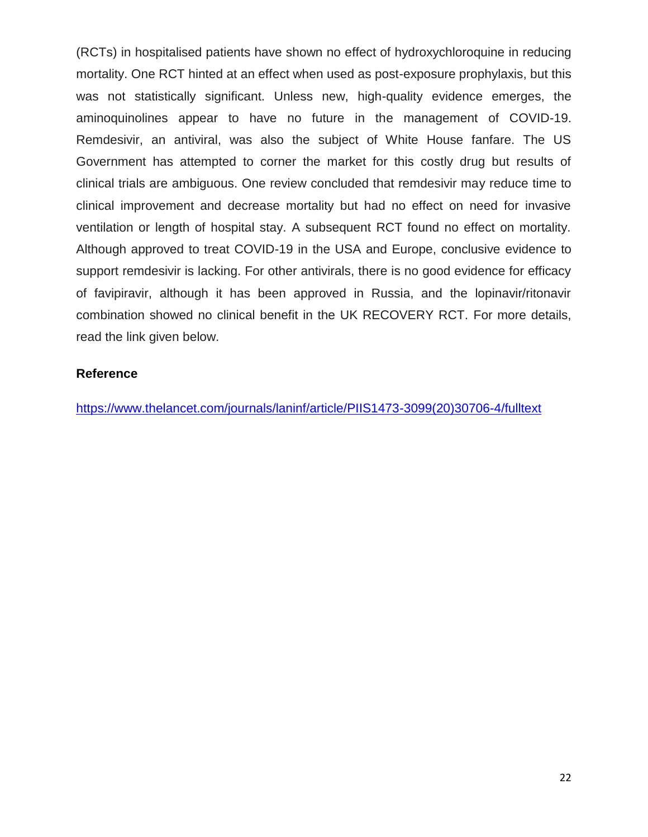(RCTs) in hospitalised patients have shown no effect of hydroxychloroquine in reducing mortality. One RCT hinted at an effect when used as post-exposure prophylaxis, but this was not statistically significant. Unless new, high-quality evidence emerges, the aminoquinolines appear to have no future in the management of COVID-19. Remdesivir, an antiviral, was also the subject of White House fanfare. The US Government has attempted to corner the market for this costly drug but results of clinical trials are ambiguous. One review concluded that remdesivir may reduce time to clinical improvement and decrease mortality but had no effect on need for invasive ventilation or length of hospital stay. A subsequent RCT found no effect on mortality. Although approved to treat COVID-19 in the USA and Europe, conclusive evidence to support remdesivir is lacking. For other antivirals, there is no good evidence for efficacy of favipiravir, although it has been approved in Russia, and the lopinavir/ritonavir combination showed no clinical benefit in the UK RECOVERY RCT. For more details, read the link given below.

### **Reference**

[https://www.thelancet.com/journals/laninf/article/PIIS1473-3099\(20\)30706-4/fulltext](https://www.thelancet.com/journals/laninf/article/PIIS1473-3099(20)30706-4/fulltext)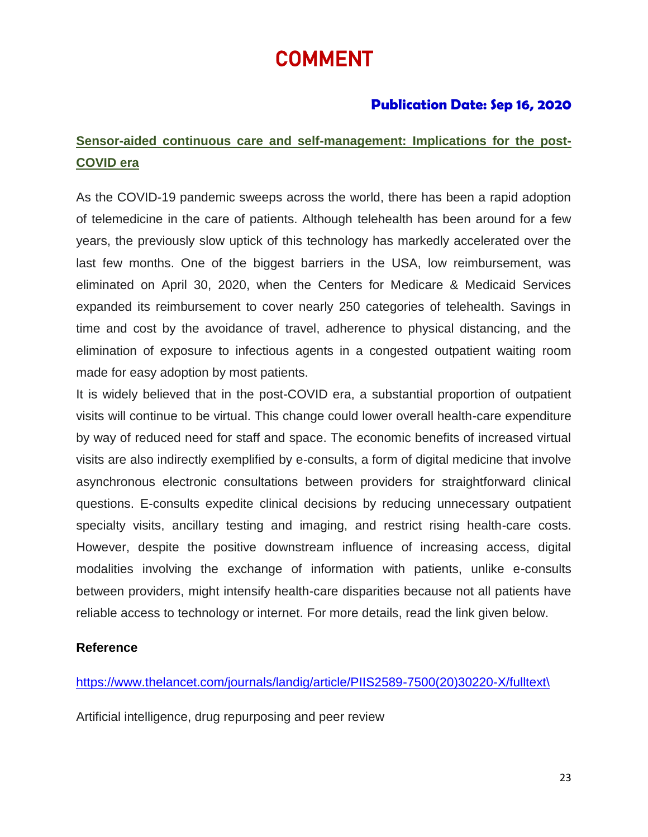# COMMENT

## **Publication Date: Sep 16, 2020**

## **Sensor-aided continuous care and self-management: Implications for the post-COVID era**

As the COVID-19 pandemic sweeps across the world, there has been a rapid adoption of telemedicine in the care of patients. Although telehealth has been around for a few years, the previously slow uptick of this technology has markedly accelerated over the last few months. One of the biggest barriers in the USA, low reimbursement, was eliminated on April 30, 2020, when the Centers for Medicare & Medicaid Services expanded its reimbursement to cover nearly 250 categories of telehealth. Savings in time and cost by the avoidance of travel, adherence to physical distancing, and the elimination of exposure to infectious agents in a congested outpatient waiting room made for easy adoption by most patients.

It is widely believed that in the post-COVID era, a substantial proportion of outpatient visits will continue to be virtual. This change could lower overall health-care expenditure by way of reduced need for staff and space. The economic benefits of increased virtual visits are also indirectly exemplified by e-consults, a form of digital medicine that involve asynchronous electronic consultations between providers for straightforward clinical questions. E-consults expedite clinical decisions by reducing unnecessary outpatient specialty visits, ancillary testing and imaging, and restrict rising health-care costs. However, despite the positive downstream influence of increasing access, digital modalities involving the exchange of information with patients, unlike e-consults between providers, might intensify health-care disparities because not all patients have reliable access to technology or internet. For more details, read the link given below.

### **Reference**

[https://www.thelancet.com/journals/landig/article/PIIS2589-7500\(20\)30220-X/fulltext\](https://www.thelancet.com/journals/landig/article/PIIS2589-7500(20)30220-X/fulltext/)

Artificial intelligence, drug repurposing and peer review